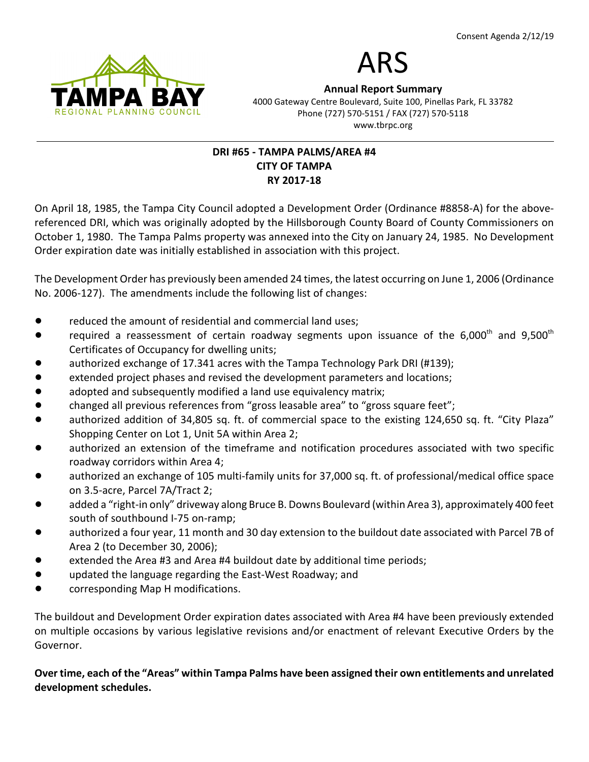



Annual Report Summary 4000 Gateway Centre Boulevard, Suite 100, Pinellas Park, FL 33782 Phone (727) 570-5151 / FAX (727) 570-5118 www.tbrpc.org

# DRI #65 - TAMPA PALMS/AREA #4 CITY OF TAMPA RY 2017-18

On April 18, 1985, the Tampa City Council adopted a Development Order (Ordinance #8858-A) for the abovereferenced DRI, which was originally adopted by the Hillsborough County Board of County Commissioners on October 1, 1980. The Tampa Palms property was annexed into the City on January 24, 1985. No Development Order expiration date was initially established in association with this project.

The Development Order has previously been amended 24 times, the latest occurring on June 1, 2006 (Ordinance No. 2006-127). The amendments include the following list of changes:

- reduced the amount of residential and commercial land uses;
- required a reassessment of certain roadway segments upon issuance of the 6,000<sup>th</sup> and 9,500<sup>th</sup> Certificates of Occupancy for dwelling units;
- authorized exchange of 17.341 acres with the Tampa Technology Park DRI (#139);
- extended project phases and revised the development parameters and locations;
- **•** adopted and subsequently modified a land use equivalency matrix;
- changed all previous references from "gross leasable area" to "gross square feet";
- authorized addition of 34,805 sq. ft. of commercial space to the existing 124,650 sq. ft. "City Plaza" Shopping Center on Lot 1, Unit 5A within Area 2;
- authorized an extension of the timeframe and notification procedures associated with two specific roadway corridors within Area 4;
- authorized an exchange of 105 multi-family units for 37,000 sq. ft. of professional/medical office space on 3.5-acre, Parcel 7A/Tract 2;
- added a "right-in only" driveway along Bruce B. Downs Boulevard (within Area 3), approximately 400 feet south of southbound I-75 on-ramp;
- authorized a four year, 11 month and 30 day extension to the buildout date associated with Parcel 7B of Area 2 (to December 30, 2006);
- extended the Area #3 and Area #4 buildout date by additional time periods;
- ! updated the language regarding the East-West Roadway; and
- ! corresponding Map H modifications.

The buildout and Development Order expiration dates associated with Area #4 have been previously extended on multiple occasions by various legislative revisions and/or enactment of relevant Executive Orders by the Governor.

Over time, each of the "Areas" within Tampa Palms have been assigned their own entitlements and unrelated development schedules.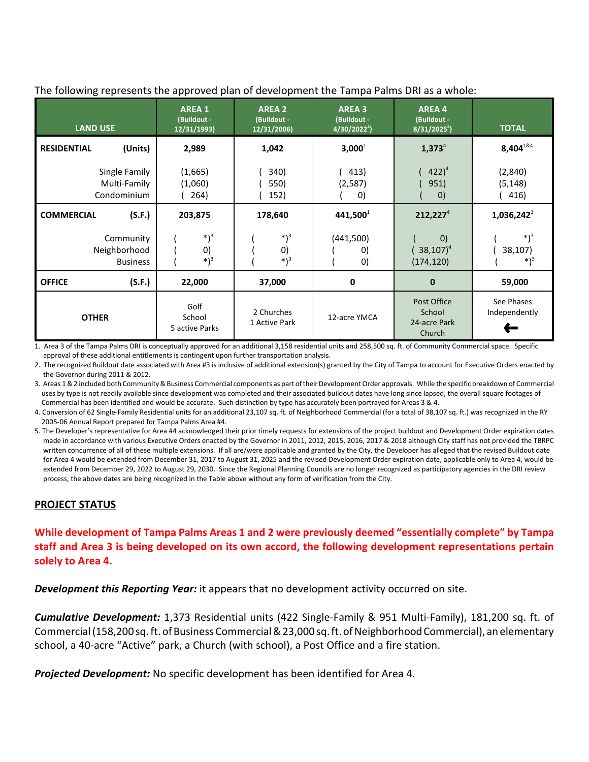The following represents the approved plan of development the Tampa Palms DRI as a whole:

| LAND USE                                     | <b>AREA 1</b><br>(Buildout -<br>12/31/1993) | <b>AREA 2</b><br>(Buildout -<br>12/31/2006) | <b>AREA 3</b><br>(Buildout -<br>$4/30/2022^2$ | <b>AREA4</b><br>(Buildout -<br>$8/31/2025^5$     | <b>TOTAL</b>                |
|----------------------------------------------|---------------------------------------------|---------------------------------------------|-----------------------------------------------|--------------------------------------------------|-----------------------------|
| (Units)<br><b>RESIDENTIAL</b>                | 2,989                                       | 1,042                                       | $3,000^1$                                     | $1,373^{4}$                                      | $8,404^{184}$               |
| Single Family<br>Multi-Family<br>Condominium | (1,665)<br>(1,060)<br>264)                  | 340)<br>550)<br>152)                        | 413)<br>(2,587)<br>$\left( 0\right)$          | $(422)^4$<br>951)<br>$\left( 0\right)$           | (2,840)<br>(5, 148)<br>416) |
| (S.F.)<br><b>COMMERCIAL</b>                  | 203,875                                     | 178,640                                     | 441,500                                       | 212,227 <sup>4</sup>                             | $1,036,242^1$               |
| Community<br>Neighborhood<br><b>Business</b> | $*)^3$<br>0)<br>$*)^3$                      | $*)^3$<br>0)<br>$*)^3$                      | (441,500)<br>O)<br>$\left( 0\right)$          | $\left( 0\right)$<br>$(38, 107)^4$<br>(174, 120) | $*)^3$<br>38,107)<br>$*)^3$ |
| (S.F.)<br><b>OFFICE</b>                      | 22,000                                      | 37,000                                      | 0                                             | $\bf{0}$                                         | 59,000                      |
| <b>OTHER</b>                                 | Golf<br>School<br>5 active Parks            | 2 Churches<br>1 Active Park                 | 12-acre YMCA                                  | Post Office<br>School<br>24-acre Park<br>Church  | See Phases<br>Independently |

1. Area 3 of the Tampa Palms DRI is conceptually approved for an additional 3,158 residential units and 258,500 sq. ft. of Community Commercial space. Specific approval of these additional entitlements is contingent upon further transportation analysis.

2. The recognized Buildout date associated with Area #3 is inclusive of additional extension(s) granted by the City of Tampa to account for Executive Orders enacted by the Governor during 2011 & 2012.

3. Areas 1 & 2 included both Community & Business Commercial components as part of their Development Order approvals. While the specific breakdown of Commercial uses by type is not readily available since development was completed and their associated buildout dates have long since lapsed, the overall square footages of Commercial has been identified and would be accurate. Such distinction by type has accurately been portrayed for Areas 3 & 4.

4. Conversion of 62 Single-Family Residential units for an additional 23,107 sq. ft. of Neighborhood Commercial (for a total of 38,107 sq. ft.) was recognized in the RY 2005-06 Annual Report prepared for Tampa Palms Area #4.

5. The Developer's representative for Area #4 acknowledged their prior timely requests for extensions of the project buildout and Development Order expiration dates made in accordance with various Executive Orders enacted by the Governor in 2011, 2012, 2015, 2016, 2017 & 2018 although City staff has not provided the TBRPC written concurrence of all of these multiple extensions. If all are/were applicable and granted by the City, the Developer has alleged that the revised Buildout date for Area 4 would be extended from December 31, 2017 to August 31, 2025 and the revised Development Order expiration date, applicable only to Area 4, would be extended from December 29, 2022 to August 29, 2030. Since the Regional Planning Councils are no longer recognized as participatory agencies in the DRI review process, the above dates are being recognized in the Table above without any form of verification from the City.

### PROJECT STATUS

While development of Tampa Palms Areas 1 and 2 were previously deemed "essentially complete" by Tampa staff and Area 3 is being developed on its own accord, the following development representations pertain solely to Area 4.

**Development this Reporting Year:** it appears that no development activity occurred on site.

Cumulative Development: 1,373 Residential units (422 Single-Family & 951 Multi-Family), 181,200 sq. ft. of Commercial (158,200 sq. ft. of Business Commercial & 23,000 sq. ft. of Neighborhood Commercial), an elementary school, a 40-acre "Active" park, a Church (with school), a Post Office and a fire station.

**Projected Development:** No specific development has been identified for Area 4.